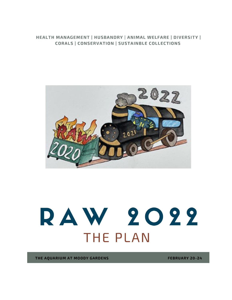# HEALTH MANAGEMENT | HUSBANDRY | ANIMAL WELFARE | DIVERSITY | CORALS | CONSERVATION | SUSTAINBLE COLLECTIONS



# RAW 2022 **THE PLAN**

THE AQUARIUM AT MOODY GARDENS

**FEBRUARY 20-24**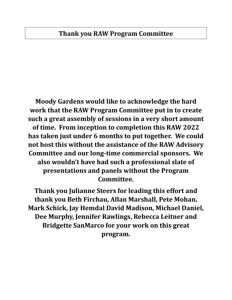# **Thank you RAW Program Committee**

**Moody Gardens would like to acknowledge the hard work that the RAW Program Committee put in to create such a great assembly of sessions in a very short amount of time. From inception to completion this RAW 2022 has taken just under 6 months to put together. We could not host this without the assistance of the RAW Advisory Committee and our long-time commercial sponsors. We also wouldn't have had such a professional slate of presentations and panels without the Program Committee.**

**Thank you Julianne Steers for leading this effort and thank you Beth Firchau, Allan Marshall, Pete Mohan, Mark Schick, Jay Hemdal David Madison, Michael Daniel, Dee Murphy, Jennifer Rawlings, Rebecca Leitner and Bridgette SanMarco for your work on this great program.**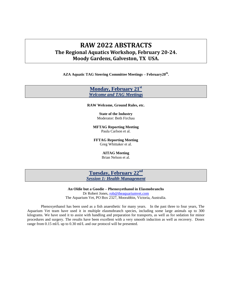# **RAW 2022 ABSTRACTS The Regional Aquatics Workshop, February 20-24. Moody Gardens, Galveston, TX USA.**

**AZA Aquatic TAG Steering Committee Meetings – February20th .**

# **Monday, February 21st** *Welcome and TAG Meetings*

**RAW Welcome, Ground Rules, etc.**

**State of the Industry** Moderator: Beth Firchau

**MFTAG Reporting Meeting**  Paula Carlson et al.

**FFTAG Reporting Meeting** Greg Whittaker et al.

**AITAG Meeting**

Brian Nelson et al.

**Tuesday, February 22nd** *Session 1: Health Management*

**An Oldie but a Goodie – Phenoxyethanol in Elasmobranchs** Dr Robert Jones, rob@theaquariumvet.com The Aquarium Vet, PO Box 2327, Moorabbin, Victoria, Australia.

Phenoxyethanol has been used as a fish anaesthetic for many years. In the past three to four years, The Aquarium Vet team have used it in multiple elasmobranch species, including some large animals up to 300 kilograms. We have used it to assist with handling and preparation for transports, as well as for sedation for minor procedures and surgery. The results have been excellent with a very smooth induction as well as recovery. Doses range from 0.15 ml/L up to 0.30 ml/L and our protocol will be presented.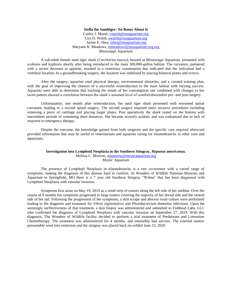## **Stella the Sandtiger: No Bones About It**

Caitlin J. Marsh, cmarsh@msaquarium.org Liza D. Walsh, ewalsh@msaquarium.org Jackie E. Shea, jshea@msaquarium.org Maryann R. Meadows, mmeadows@msaquarium.org.org Mississippi Aquarium

A sub-adult female sand tiger shark (*Carcharias taurus*), housed at Mississippi Aquarium, presented with scoliosis and kyphosis shortly after being introduced to the main 300,000-gallon habitat. The curvature, partnered with a severe decrease in appetite, resulted in a veterinary examination that indicated that the individual had a vertebral luxation. In a groundbreaking surgery, the luxation was stabilized by placing bilateral plates and screws.

After the surgery, aquarists used physical therapy, environmental obstacles, and a curated training plan, with the goal of improving the chances of a successful reintroduction to the main habitat with varying success. Aquarists were able to determine that tracking the trends of her consumption rate combined with changes to her swim pattern showed a correlation between the shark's assumed level of comfort/discomfort pre- and post-surgery.

Unfortunately, one month after reintroduction, the sand tiger shark presented with worsened spinal curvature, leading to a second spinal surgery. The second surgery required more invasive procedures including removing a piece of cartilage and placing larger plates. Post operatively the shark rested on the bottom with intermittent periods of swimming short distances. She became severely acidotic and was euthanized due to lack of response to emergency therapy.

Despite the outcome, the knowledge gained from both surgeries and the specific care required afterward provided information that may be useful to veterinarians and aquarists caring for elasmobranchs in other zoos and aquariums.

#### **Investigation into Lymphoid Neoplasia in the Southern Stingray,** *Hypanus americanus.* Melissa C. Morrow, mmorrow@mysticaquarium.org Mystic Aquarium

The presence of Lymphoid Neoplasia in elasmobranchs is a rare occurrence with a varied range of symptoms, making the diagnosis of this disease hard to confirm. At Wonders of Wildlife National Museum and Aquarium in Springfield, MO there is a 7 year old Southern Stingray "Wilma" that has been diagnosed with Lymphoid Neoplasia with vascular invasion.

Symptoms first arose on May 19, 2019 as a small strip of tumors along the left side of her midline. Over the course of 6 months her symptoms progressed to large tumors covering the majority of her dorsal side and the ventral side of her tail. Following the progression of her symptoms, a skin scrape and abscess swab culture were performed leading to the diagnosis and treatment for *Vibrio alginolyticus* and *Photobacterium damselae* infections. Upon the seemingly ineffectiveness of that treatment, a skin biopsy was administered and submitted to Fishhead Labs, LLC who confirmed the diagnosis of Lymphoid Neoplasia with vascular invasion on September 27, 2019. With this diagnosis, The Wonders of Wildlife facility decided to perform a trial treatment of Prednisone and Lomustine Chemotherapy. The treatment was administered for 4 months, and ostensibly had success. The external tumors presumably went into remission and the stingray was placed back on exhibit June 23, 2020.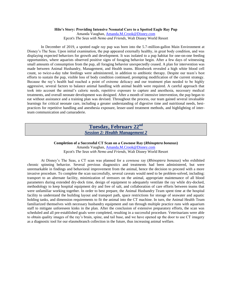## **Hilo's Story: Providing Intensive Neonatal Care to a Spotted Eagle Ray Pup**

Amanda Vaughan, Amanda.M.Crook@Disney.com Epcot's *The Seas with Nemo and Friends,* Walt Disney World Resort

In December of 2019, a spotted eagle ray pup was born into the 5.7-million-gallon Main Environment at Disney's The Seas. Upon initial examination, the pup appeared externally healthy, in great body condition, and was displaying expected behaviors for growth and development. It was isolated to a pup habitat for one-on-one feeding opportunities, where aquarists observed positive signs of foraging behavior begin. After a few days of witnessing small amounts of consumption from the pup, all foraging behavior unexpectedly ceased. A plan for intervention was made between Animal Husbandry, Management, and Health teams. Bloodwork revealed a high white blood cell count, so twice-a-day tube feedings were administered, in addition to antibiotic therapy. Despite our team's best efforts to sustain the pup, visible loss of body condition continued, prompting modification of the current strategy. Because the ray's health had reached a point of extreme delicacy and our treatment plan needed to be highly aggressive, several factors to balance animal handling with animal health were required. A careful approach that took into account the animal's caloric needs, repetitive exposure to capture and anesthesia, necessary medical treatments, and overall neonate development was designed. After a month of intensive intervention, the pup began to eat without assistance and a training plan was devised. Throughout the process, our team gained several invaluable learnings for critical neonate care, including a greater understanding of digestive time and nutritional needs, bestpractices for repetitive handling and anesthesia exposure, lesser-used treatment methods, and highlighting of interteam communication and camaraderie.

# **Tuesday, February 22nd** *Session 2: Health Management 2*

**Completion of a Successful CT Scan on a Cownose Ray (***Rhinoptera bonasus***)** Amanda Vaughan, Amanda.M.Crook@Disney.com Epcot's *The Seas with Nemo and Friends,* Walt Disney World Resort

At Disney's The Seas, a CT scan was planned for a cownose ray (*Rhinoptera bonasus*) who exhibited chronic spinning behavior. Several previous diagnostics and treatments had been administered, but were unremarkable in findings and behavioral improvement from the animal, hence the decision to proceed with a more invasive procedure. To complete the scan successfully, several caveats would need to be problem-solved, including: transport to an alternate facility, minimization of stressors on the animal, appropriate maintenance of all blood parameters during extended dry-dock time, design of equipment to adequately ventilate the ray while dry-docked, methodology to keep hospital equipment dry and free of salt, and collaboration of care efforts between teams that were unfamiliar working together. In order to best prepare, the Animal Husbandry Team spent time at the hospital facility to understand the building layout and transport path, space restrictions for storage of seawater and aquatic holding tanks, and dimension requirements to fit the animal into the CT machine. In turn, the Animal Health Team familiarized themselves with necessary husbandry equipment and ran through multiple practice runs with aquarium staff to mitigate unforeseen kinks in the plan. After the conclusion of extensive preparatory efforts, the scan was scheduled and all pre-established goals were completed, resulting in a successful procedure. Veterinarians were able to obtain quality images of the ray's brain, spine, and tail base, and we have opened up the door to use CT imagery as a diagnostic tool for our elasmobranch collection in the future, thus increasing animal welfare.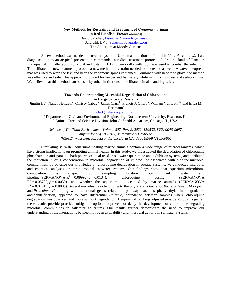# **New Methods for Restraint and Treatment of** *Uronema marinum*  **in Red Lionfish** *(Pterois volitan***s)**

David Sanchez, Dsanchez@moodygardens.org Sara Uhl, LVT, Suh@moodygardens.org The Aquarium at Moody Gardens

A new method was needed to treat a systemic Uronema infection in Lionfish (*Pterois volitans)*. Late diagnoses due to an atypical presentation commanded a radical treatment protocol. A drug cocktail of Panacur, Praziquantal, Enrofloxacin, Ponazuril and Vitamin B12, given orally with food was used to combat the infection. To facilitate this new treatment protocol, a new method of restraint needed to be created as well. A woven neoprene mat was used to wrap the fish and keep the venomous spines contained. Combined with neoprene glove, the method was effective and safe. This approach provided for keeper and fish safety while minimizing stress and sedation time. We believe that this method can be used by other institutions to facilitate animals handling safety.

#### **Towards Understanding Microbial Degradation of Chloroquine in Large Saltwater Systems**

Jinglin Hu<sup>a</sup>, Nancy Hellgeth<sup>a</sup>, Chrissy Cabay<sup>b</sup>, James Clark<sup>b</sup>, Francis J. Oliaro<sup>b</sup>, William Van Bonn<sup>b</sup>, and Erica M.

Hartmann<sup>a</sup>

# jclark@sheddaquarium.org

<sup>a</sup> Department of Civil and Environmental Engineering, Northwestern University, Evanston, IL. <sup>b</sup> Animal Care and Science Division, John G. Shedd Aquarium, Chicago, IL, USA,

*Science of The Total Environment, Volume 807, Part 2, 2022, 150532, ISSN 0048-9697, https://doi.org/10.1016/j.scitotenv.2021.150532. (https://www.sciencedirect.com/science/article/pii/S0048969721056096)*

Circulating saltwater aquariums hosting marine animals contain a wide range of microorganisms, which have strong implications on promoting animal health. In this study, we investigated the degradation of chloroquine phosphate, an anti-parasitic bath pharmaceutical used in saltwater quarantine and exhibition systems, and attributed the reduction in drug concentration to microbial degradation of chloroquine associated with pipeline microbial communities. To advance our knowledge on chloroquine degradation in aquatic systems, we conducted microbial and chemical analyses on three tropical saltwater systems. Our findings show that aquarium microbiome composition is shaped by sampling location (i.e., tank water and pipeline; PERMANOVA  $R^2 = 0.09992$ ,  $p = 0.0134$ ), chloroquine dosing (PERMANOVA  $R^2 = 0.05700$ ,  $p = 0.0030$ ), and whether the aquarium is occupied by marine animals (PERMANOVA)  $R^2 = 0.07019$ ,  $p = 0.0009$ ). Several microbial taxa belonging to the phyla *Actinobacteria*, *Bacteroidetes*, *Chloroflexi*, and *Proteobacteria*, along with functional genes related to pathways such as phenylethylamine degradation and denitrification, appeared to have differential (relative) abundance between samples where chloroquine degradation was observed and those without degradation (Benjamini-Hochberg adjusted *p*-value <0.05). Together, these results provide practical mitigation options to prevent or delay the development of chloroquine-degrading microbial communities in saltwater aquariums. Our results further demonstrate the need to improve our understanding of the interactions between nitrogen availability and microbial activity in saltwater systems.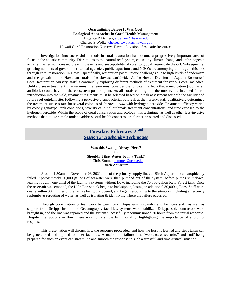## **Quarantining Before It Was Cool: Ecological Approaches in Coral Health Management**  Angelica R Demers, ardemers@hawaii.edu Chelsea S Wolke, chelsea.s.wolke@hawaii.gov Hawaii Coral Restoration Nursery, Hawaii Division of Aquatic Resources

Investigation into successful methods in coral restoration has become a progressively important area of focus in the aquatic community. Disruptions to the natural reef system, caused by climate change and anthropogenic activity, has led to increased bleaching events and susceptibility of coral to global large-scale die-off. Subsequently, growing numbers of government-funded agencies, public aquariums, and NGO's are attempting to mitigate this loss through coral restoration. In Hawaii specifically, restoration poses unique challenges due to high levels of endemism and the growth rate of Hawaiian corals—the slowest worldwide. At the Hawaii Division of Aquatic Resources' Coral Restoration Nursery, staff is continually exploring different methods of treatment for various coral maladies. Unlike disease treatment in aquariums, the team must consider the long-term effects that a medication (such as an antibiotic) could have on the ecosystem post-outplant. As all corals coming into the nursery are intended for reintroduction into the wild, treatment regiments must be selected based on a risk assessment for both the facility and future reef outplant site. Following a pervasive cyanobacterial outbreak at the nursery, staff qualitatively determined the treatment success rate for several colonies of *Porites lobata* with hydrogen peroxide. Treatment efficacy varied by colony genotype, tank conditions, severity of initial outbreak, treatment concentrations, and time exposed to the hydrogen peroxide. Within the scope of coral conservation and ecology, this technique, as well as other less-invasive methods that utilize simple tools to address coral health concerns, are further presented and discussed.

# **Tuesday, February 22nd** *Session 3: Husbandry Techniques*

**Was this Swamp Always Here? Or Shouldn't that Water be in a Tank?** J. Chris Emmet, jemmet@ucsd.edu Birch Aquarium

Around 1:30am on November 26, 2021, one of the primary supply lines at Birch Aquarium catastrophically failed. Approximately 30,000 gallons of seawater were then pumped out of the system, before pumps shut down, leaving roughly one third of the facility's systems without flow, including the 70,000-gallon Kelp Forest tank. Once the reservoir was emptied, the Kelp Forest tank began to backsiphon, losing an additional 30,000 gallons. Staff were onsite within 30 minutes of the failure being discovered, and began responding to the situation, including emergency replumbs & rerouting of water, as well as isolating & identifying where the failure occurred.

Through coordination & teamwork between Birch Aquarium husbandry and facilities staff, as well as support from Scripps Institute of Oceanography facilities, systems were stabilized & bypassed, contractors were brought in, and the line was repaired and the system successfully recommissioned 20 hours from the initial response. Despite interruptions in flow, there was not a single fish mortality, highlighting the importance of a prompt response.

This presentation will discuss how the response proceeded, and how the lessons learned and steps taken can be generalized and applied to other facilities. A major line failure is a "worst case scenario," and staff being prepared for such an event can streamline and smooth the response to such a stressful and time-critical situation.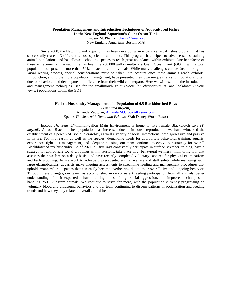# **Population Management and Introduction Techniques of Aquacultured Fishes**

**In the New England Aquarium's Giant Ocean Tank**

Lindsay M. Phenix, lphenix@neaq.org New England Aquarium, Boston, MA|

Since 2008, the New England Aquarium has been developing an expansive larval fishes program that has successfully reared 13 different teleost species to adulthood. This program has helped to advance self-sustaining animal populations and has allowed schooling species to reach great abundance within exhibits. One benefactor of these achievements in aquaculture has been the 200,000 gallon multi-taxa Giant Ocean Tank (GOT), with a total population comprised of more than 50% aquacultured individuals. While many challenges can be faced during the larval rearing process, special considerations must be taken into account once these animals reach exhibits. Introduction, and furthermore population management, have presented their own unique trials and tribulations, often due to behavioral and developmental difference from their wild counterparts. Here we will examine the introduction and management techniques used for the smallmouth grunt (*Haemulon chrysargyreum*) and lookdown (*Selene vomer*) populations within the GOT.

## **Holistic Husbandry Management of a Population of 0.5 Blackblotched Rays** *(Taeniura meyeni)* Amanda Vaughan, Amanda.M.Crook@Disney.com

Epcot's *The Seas with Nemo and Friends,* Walt Disney World Resort

Epcot's *The Seas* 5.7-million-gallon Main Environment is home to five female Blackblotch rays *(T. meyeni*). As our Blackblotched population has increased due to in-house reproduction, we have witnessed the establishment of a perceived 'social hierarchy', as well a variety of social interactions, both aggressive and passive in nature. For this reason, as well as the species' demanding needs for appropriate behavioral training, aquarist experience, tight diet management, and adequate housing, our team continues to evolve our strategy for overall Blackblotched ray husbandry. As of 2021, all five rays consistently participate in surface stretcher training, have a strategy for appropriate social groupings within sessions, take place in a 'behavioral wellness' monitoring tool that assesses their welfare on a daily basis, and have recently completed voluntary captures for physical examinations and barb grooming. As we work to achieve unprecedented animal welfare and staff safety while managing such large elasmobranchs, aquarists make ongoing assessments to streamline feeding and management procedures that uphold 'manners' in a species that can easily become overbearing due to their overall size and outgoing behavior. Through these changes, our team has accomplished more consistent feeding participation from all animals, better understanding of their expected behavior during times of high social aggression, and improved techniques in handling 250+ kilogram animals. We continue to strive for more, with the population currently progressing on voluntary blood and ultrasound behaviors and our team continuing to discern patterns in socialization and feeding trends and how they may relate to overall animal health.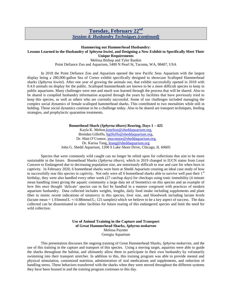# **Tuesday, February 22nd** *Session 4: Husbandry Techniques (continued)*

## **Hammering out Hammerhead Husbandry: Lessons Learned in the Husbandry of** *Sphryna lewini***, and Designing a New Exhibit to Specifically Meet Their Unique Requirements**  Melissa Bishop and Tyler Rankin

Point Defiance Zoo and Aquarium, 5400 N Pearl St, Tacoma, WA, 98407, USA

In 2018 the Point Defiance Zoo and Aquarium opened the new Pacific Seas Aquarium with the largest display being a 280,000-gallon Sea of Cortez exhibit specifically designed to showcase Scalloped Hammerhead sharks (*Sphyrna lewini*). After one year of growing the animals out, that exhibit successfully opened in 2018 with 0.4.0 animals on display for the public. Scalloped hammerheads are known to be a more difficult species to keep in public aquariums. Many challenges were met and much was learned through the process that will be shared. Also to be shared is compiled husbandry information acquired through the years by facilities that have previously tried to keep this species, as well as others who are currently successful. Some of our challenges included managing the complex social dynamics of female scalloped hammerhead sharks. This contributed to two mortalities while still in holding. Those social dynamics continue to be a challenge today. Also to be shared are transport techniques, feeding strategies, and prophylactic quarantine treatments.

> **Bonnethead Shark (***Sphyrna tiburo***) Rearing, Days 1 – 425** Kayla K. Melton,kmelton@sheddaquarium.org, Brendan Gilloffo, bgilloffo@sheddaquarium.org, Dr. Matt O'Connor, moconnor@sheddaquarium.org, Dr. Karisa Tang, ktang@sheddaquarium.org John G. Shedd Aquarium, 1200 S Lake Shore Drive, Chicago, IL 60605

Species that were commonly wild caught can no longer be relied upon for collections that aim to be more sustainable in the future. Bonnethead Sharks (*Sphyrna tiburo*), which in 2019 changed in IUCN status from Least Concern to Endangered due to decreasing population size, are notoriously difficult to rear and care for when born in captivity. In February 2020, 6 bonnethead sharks were born at Shedd Aquarium creating an ideal case study of how to successfully rear this species in captivity. Not only were all 6 bonnethead sharks able to survive well past their  $1<sup>st</sup>$ birthday, they were also handled every other week (27 catchup days) for checkups using tonic immobility (4 minute mean handling time) giving the aquatic community a large data set of biometrics on this species and an example of how this once thought 'delicate' species can in fact be handled in a manner congruent with practices of modern aquarium husbandry. Data collected includes weights, lengths, daily food intake including supplements and plant fiber to mimic recent indications of omniovry in this species, liver size, and bloodwork including lactate levels (lactate mean  $= 1.93$ mmol/L +/-0.88mmol/L; 125 samples) which we believe to be a key aspect of success. The data collected can be disseminated to other facilities for future rearing of this endangered species and limit the need for wild collection.

> **Use of Animal Training in the Capture and Transport of Great Hammerhead Sharks,** *Sphyrna mokarran* Melissa Paynter Georgia Aquarium

This presentation discusses the ongoing training of Great Hammerhead Sharks, *Sphyrna mokarran*, and the use of this training in the capture and transport of this species. Using a moving target, aquarists were able to guide the sharks throughout the habitat, and ultimately allow them to participate in their own husbandry by voluntarily swimming into their transport stretcher. In addition to this, this training program was able to provide mental and physical stimulation, customized nutrition, administration of oral medications and supplements, and reduction of handling stress. These behaviors transferred with the sharks when they were moved throughout the different systems they have been housed in and the training program continues to this day.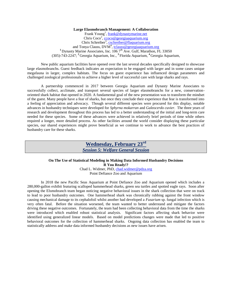## **Large Elasmobranch Management: A Collaboration**

Frank Young<sup>1</sup>, frank@dynastymarine.net Chris Coco<sup>2</sup>, ccoco@georgiaaquarium.org Chris Schreiber<sup>3</sup>, cschreiber@flaquarium.org and Tonya Clauss, DVM<sup>4</sup>, tclauss@georgiaaquarium.org <sup>1</sup> Dynasty Marine Associates, Inc. 1067<sup>th</sup> Ave. Gulf, Marathon, FL 33050 (305)-743-2247; **<sup>2</sup>**Georgia Aquarium, Inc., **<sup>3</sup>**Florida Aquarium, **<sup>4</sup>**Georgia Aquarium,

New public aquarium facilities have opened over the last several decades specifically designed to showcase large elasmobranchs. Guest feedback indicates an expectation to be engaged with larger and in some cases unique megafauna in larger, complex habitats. The focus on guest experience has influenced design parameters and challenged zoological professionals to achieve a higher level of successful care with large sharks and rays.

A partnership commenced in 2017 between Georgia Aquarium and Dynasty Marine Associates to successfully collect, acclimate, and transport several species of larger elasmobranchs for a new, conservationoriented shark habitat that opened in 2020. A fundamental goal of the new presentation was to transform the mindset of the guest. Many people have a fear of sharks, but once they conclude their experience that fear is transformed into a feeling of appreciation and advocacy. Though several different species were procured for this display, notable advances in husbandry techniques were developed for *Sphyrna mokarran* and *Galeocerdo cuvier*. The three years of research and development throughout this process has led to a better understanding of the initial and long-term care needed for these species. Some of these advances were achieved in relatively brief periods of time while others required a longer, more detailed process. As other facilities around the world consider displaying these particular species, our shared experiences might prove beneficial as we continue to work to advance the best practices of husbandry care for these sharks.

# **Wednesday, February 23rd** *Session 5: Welfare General Session*

## **On The Use of Statistical Modeling in Making Data Informed Husbandry Decisions R You Ready!?** Chad L. Widmer, PhD, chad.widmer@pdza.org

Point Defiance Zoo and Aquarium

In 2018 the new Pacific Seas Aquarium at Point Defiance Zoo and Aquarium opened which includes a 280,000-gallon exhibit featuring scalloped hammerhead sharks, green sea turtles and spotted eagle rays. Soon after opening the Elsmobranch team began noticing negative behavioral issues in the shark collection that were on track to lead to poor husbandry outcomes. One hammerhead shark was chronically rubbing against the front window causing mechanical damage to its cephalofoil whilst another had developed a *Fusarium* sp. fungal infection which is very often fatal. Before the situation worsened, the team wanted to better understand and mitigate the factors driving these negative outcomes. Fortunately, the team had been collecting behavioral data from the time the sharks were introduced which enabled robust statistical analysis. Significant factors affecting shark behavior were identified using generalized linear models. Based on model predictions changes were made that led to positive behavioral outcomes for the collection of hammerhead sharks. Ongoing data collection has enabled the team to statistically address and make data informed husbandry decisions as new issues have arisen.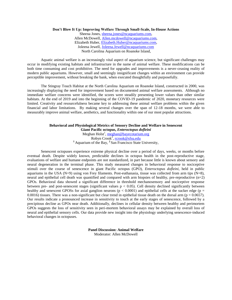## **Don't Blow It Up: Improving Welfare Through Small-Scale, In-House Actions**

Sheena Jones, sheena.jones@ncaquariums.com, Allen McDowell, Allen.mcdowell@ncaquariums.com, Elizabeth Huber, Elizabeth.Huber@ncaquariums.com, Joleena Jewell, Joleena.Jewell@ncaquariums.com North Carolina Aquarium on Roanoke Island,

Aquatic animal welfare is an increasingly vital aspect of aquarium science, but significant challenges may occur in modifying existing habitats and infrastructure in the name of animal welfare. These modifications can be both time consuming and cost prohibitive. The need for upgrades and improvements is a never-ceasing reality of modern public aquariums. However, small and seemingly insignificant changes within an environment can provide perceptible improvement, without breaking the bank, when executed thoughtfully and purposefully.

The Stingray Touch Habitat at the North Carolina Aquarium on Roanoke Island, constructed in 2000, was increasingly displaying the need for improvement based on documented animal welfare assessments. Although no immediate welfare concerns were identified, the scores were steadily presenting lower values than other similar habitats. At the end of 2019 and into the beginning of the COVID-19 pandemic of 2020, monetary resources were limited. Creativity and resourcefulness became key to addressing these animal welfare problems within the given financial and labor limitations. By making several changes over the span of 12-18 months, we were able to measurably improve animal welfare, aesthetics, and functionality within one of our most popular attractions.

# **Behavioral and Physiological Metrics of Sensory Decline and Welfare in Senescent**

**Giant Pacific octopus,** *Enteroctopus dofleini* Meghan Holst<sup>1</sup>, [meghan@bayecotarium.org](mailto:meghan@bayecotarium.org) Robyn Crook<sup>2</sup>, <u>rcrook@sfsu.edu</u> **<sup>1</sup>**Aquarium of the Bay, **<sup>2</sup>**San Francisco State University,

Senescent octopuses experience extreme physical decline over a period of days, weeks, or months before eventual death. Despite widely known, predictable declines in octopus health in the post-reproductive stage, evaluations of welfare and humane endpoints are not standardized, in part because little is known about sensory and neural degeneration in the terminal phase. This study measured changes in behavioral response to nociceptive stimuli over the course of senescence in giant Pacific octopus (GPO), *Enteroctopus dofleini,* held in public aquariums in the USA ( $N=9$ ) using von Frey filaments. Post-euthanasia, tissue was collected from arm tips ( $N=8$ ), neural and epithelial cell death was quantified and compared with arm biopsies of healthy, pre-reproductive (n=2) GPOs. Behavioral data showed a significant difference in threshold mechanosensory and nociceptive response between pre- and post-senescent stages (significant values  $p < 0.05$ ). Cell density declined significantly between healthy and senescent GPOSs for axial ganglion neurons ( $p < 0.0001$ ) and epithelial cells at the sucker edge ( $p =$ 0.0016) tissues. There was a non-significant but clear trend in epithelial tissue death on the dorsal arm ( $p = 0.0657$ ). Our results indicate a pronounced increase in sensitivity to touch at the early stages of senescence, followed by a precipitous decline as GPOs near death. Additionally, declines in cellular density between healthy and perimortem GPOs suggests the loss of sensitivity seen in peri-mortem behavioral assays may be explained by overall loss of neural and epithelial sensory cells. Our data provide new insight into the physiology underlying senescence-induced behavioral changes in octopuses.

> **Panel Discussion: Animal Welfare** Moderator: Allen McDowell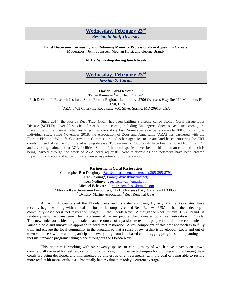# **Wednesday, February 23rd** *Session 6: Staff Diversity*

# **Panel Discussion: Increasing and Retaining Minority Professionals in Aquarium Careers**

Moderators: Jennie Janssen, Meghan Holst, and George Brandy

# **ALLY Workshop during lunch break**

# **Wednesday, February 23rd** *Session 7: Corals*

## **Florida Coral Rescue**

Tanya Ramseyer<sup>1</sup> and Beth Firchau<sup>2</sup> <sup>1</sup>Fish & Wildlife Research Institute, South Florida Regional Laboratory, 2796 Overseas Hwy Ste 119 Marathon, FL 33050, USA

<sup>2</sup>AZA, 8403 Colesville Road suite 700, Silver Spring, MD 20910, USA

Since 2014, the Florida Reef Tract (FRT) has been battling a disease called Stoney Coral Tissue Loss Disease (SCTLD). Over 20 species of reef building corals, including Endangered Species Act listed corals, are susceptible to the disease, often resulting in whole colony loss. Some species experience up to 100% mortality at individual sites. Since November 2018, the Association of Zoos and Aquariums (AZA) has partnered with the Florida Fish and Wildlife Conservation Commission and other agencies to create land-based nurseries for FRT corals in need of rescue from the advancing disease. To date nearly 2000 corals have been removed from the FRT and are being maintained at AZA facilities. Some of the coral species never been held in human care and much is being learned through the work of AZA coral aquarists. New relationships and networks have been created impacting how zoos and aquariums are viewed as partners for conservation.

**Partnering in Coral Restoration**

Christopher Ben Daughtry<sup>1</sup>, Ben@aquariumencounters.net,305-395-8791 Frank Young<sup>2</sup>, Frank@dynastymarine.net, Ken Nedimyer<sup>3</sup>, reefrenewal@gmail.com Michael Echevarria<sup>3</sup>, reefrenewalusa@gmail.com **<sup>1</sup>**Florida Keys Aquarium Encounters, 11710 Overseas Hwy Marathon Fl 33050, **<sup>2</sup>**Dynasty Marine Associates, **<sup>3</sup>**Reef Renewal USA

Aquarium Encounters of the Florida Keys and its sister company, Dynasty Marine Associates, have recently begun working with a local not-for-profit company called Reef Renewal USA to help them develop a community-based coral reef restoration program in the Florida Keys. Although the Reef Renewal USA "brand" is relatively new, the management team are some of the key people who pioneered coral reef restoration in Florida. This new endeavor is blending the talents and resources of a passionate team of people from all three companies to launch a bold and innovative approach to coral reef restoration. A key component of this new approach is to fully train and engage the local community in the program so that a sense of ownership is developed. Local and out of town volunteers will be able to participate in everything from land based coral fragging programs to outplanting and reef maintenance programs taking place throughout the Florida Keys.

This program is working with over twenty species of corals, many of which have never been grown commercially or used for reef restoration programs. New, cutting-edge techniques for growing and outplanting these corals are being developed and implemented by this group of entrepreneurs, with the goal of being able to restore more reefs with more corals at a substantially better value than today's current average.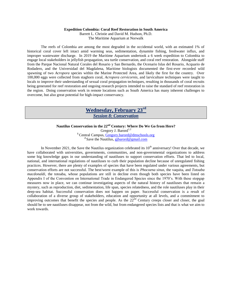## **Expedition Colombia: Coral Reef Restoration in South America**

Barrett L. Christie and David M. Hudson, Ph.D.

The Maritime Aquarium at Norwalk

The reefs of Colombia are among the most degraded in the occidental world, with an estimated 1% of historical coral cover left intact amid warming seas, sedimentation, dynamite fishing, freshwater influx, and improper wastewater discharge. In 2019 the Maritime Aquarium undertook a 6 week expedition to Colombia to engage local stakeholders in jellyfish propagation, sea turtle conservation, and coral reef restoration. Alongside staff from the Parque Nacional Natural Corales del Rosario y San Bernardo, the Ocenario Islas del Rosario, Acquario de Rodadero, and the Universidad del Magdalena, Maritime biologists documented the first-ever recorded wild spawning of two *Acropora* species within the Marine Protected Area, and likely the first for the country. Over 100,000 eggs were collected from staghorn coral, *Acropora cervicornis*, and larviculture techniques were taught to locals to improve their understanding of sexual coral propagation techniques, resulting in thousands of coral recruits being generated for reef restoration and ongoing research projects intended to raise the standard of reef restoration in the region. Doing conservation work in remote locations such as South America has many inherent challenges to overcome, but also great potential for high-impact conservancy.

# **Wednesday, February 23rd** *Session 8: Conservation*

# **Nautilus Conservation in the 22nd Century: Where Do We Go from Here?**

Gregory J. Barord<sup>1,2</sup> **<sup>1</sup>**Central Campus, Gregory.barord@dmschools.org <sup>2</sup> Save the Nautilus, gjbarord@gmail.com

In November 2021, the Save the Nautilus organization celebrated its  $10<sup>th</sup>$  anniversary! Over that decade, we have collaborated with universities, governments, communities, and non-governmental organizations to address some big knowledge gaps in our understanding of nautiluses to support conservation efforts. That led to local, national, and international regulations of nautiluses to curb their population decline because of unregulated fishing practices. However, there are plenty of examples of species that have been regulated under various agreements, but conservation efforts are not successful. The best/worst example of this is *Phocoena sinus*, the vaquita, and *Totoaba macdonaldi*, the totoaba, whose populations are still in decline even though both species have been listed on Appendix I of the Convention on International Trade in Endangered Species since the 1970's. With these stopgap measures now in place, we can continue investigating aspects of the natural history of nautiluses that remain a mystery, such as reproduction, diet, sedimentation, life span, species relatedness, and the role nautiluses play in their deep-sea habitat. Successful conservation does not happen on paper. Successful conservation is a result of collaboration of a diverse group of stakeholders, education and opportunity at all levels, and a commitment to improving outcomes that benefit the species and people. As the 22<sup>nd</sup> Century creeps closer and closer, the goal should be to see nautiluses disappear, not from the wild, but from endangered species lists and that is what we aim to work towards.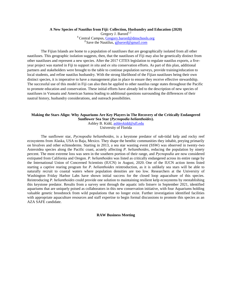## **A New Species of Nautilus from Fiji: Collection, Husbandry and Education (2020)**

Gregory J. Barord<sup>1,2</sup> **<sup>1</sup>**Central Campus, Gregory.barord@dmschools.org <sup>2</sup> Save the Nautilus, gjbarord@gmail.com

The Fijian Islands are home to a population of nautiluses that are geographically isolated from all other nautiluses. This geographic isolation suggests, then, that the nautiluses of Fiji may also be genetically distinct from other nautiluses and represent a new species. After the 2017 CITES legislation to regulate nautilus exports, a fiveyear project was started in Fiji to support *in situ* and *ex situ* conservation efforts. As part of this plan, additional partners and stakeholders were brought to the table to continue population surveys, provide training/education to local students, and refine nautilus husbandry. With the strong likelihood of the Fijian nautiluses being their own distinct species, it is imperative to have a management plan in place to ensure they receive effective stewardship. The successful use of this model in Fiji can also then be applied to other nautilus range states throughout the Pacific to promote education and conservation. These initial efforts have already led to the description of new species of nautiluses in Vanuatu and American Samoa leading to additional questions surrounding the differences of their nautral history, husbandry considerations, and outreach possibilities.

## **Making the Stars Align: Why Aquariums Are Key Players in The Recovery of the Critically Endangered Sunflower Sea Star (***Pycnopodia helianthoides***).** Ashley B. Kidd, ashleykidd@ufl.edu

University of Florida

The sunflower star, *Pycnopodia helianthoides,* is a keystone predator of sub-tidal kelp and rocky reef ecosystems from Alaska, USA to Baja, Mexico. They shape the benthic communities they inhabit, preying primarily on bivalves and other echinoderms*.* Starting in 2013, a sea star wasting event (SSW) was observed in twenty-two Asteroidea species along the Pacific coast, acutely affecting *P. helianthoides*, reducing the population by ninety percent. The most extreme loss was seen in the southern portion of their range, and *Pycnopodia* are now considered extirpated from California and Oregon. *P. helianthoides* was listed as critically endangered across its entire range by the International Union of Concerned Scientists (IUCN) in August, 2020. One of the IUCN action items listed starting a captive rearing program for *P. helianthoides* reintroduction, as it is unlikely sea stars will be able to naturally recruit to coastal waters where population densities are too low. Researchers at the University of Washington Friday Harbor Labs have shown initial success for the closed loop aquaculture of this species. Reintroducing *P. helianthoides* could provide one solution to maintaining resilient kelp ecosystems by reestablishing this keystone predator. Results from a survey sent through the aquatic info listserv in September 2021, identified aquariums that are uniquely poised as collaborators in this new conservation initiative, with four Aquariums holding valuable genetic broodstock from wild populations that no longer exist. Further investigation identified facilities with appropriate aquaculture resources and staff expertise to begin formal discussions to promote this species as an AZA SAFE candidate.

**RAW Business Meeting**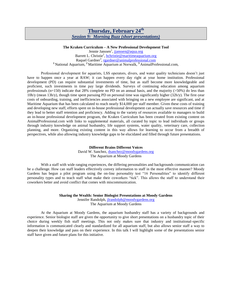# **Thursday, February 24th** *Session 9: Morning Buzz (short presentations)*

## **The Kraken Curriculum – A New Professional Development Tool**

Jennie Janssen<sup>1</sup>, <u>jjanssen@aqua.org</u> Barrett L. Christie<sup>2</sup>, **bchristie@maritimeaquarium.org** Raquel Gardner<sup>3</sup>, rgardner@animalprofessional.com **<sup>1</sup>**National Aquarium, **<sup>2</sup>**Maritime Aquarium at Norwalk, **<sup>3</sup>**AnimalProfessional.com,

Professional development for aquarists, LSS operators, divers, and water quality technicians doesn't just have to happen once a year at RAW; it can happen every day right at your home institution. Professional development (PD) can require substantial investments of time, but as staff become more knowledgeable and proficient, such investments in time pay large dividends. Surveys of continuing education among aquarium professionals ( $n=150$ ) indicate that 28% complete no PD on an annual basis, and the majority ( $>50\%$ ) do less than 10h/y (mean 13h/y), though time spent pursuing PD on personal time was significantly higher (32h/y). The first-year costs of onboarding, training, and inefficiencies associated with bringing on a new employee are significant, and at Maritime Aquarium that has been calculated to reach nearly \$14,000 per staff member. Given these costs of training and developing new staff, efforts spent on in-house professional development can actually save resources and time if they lead to better staff retention and proficiency. Adding to the variety of resources available to managers to build an in-house professional development program, the Kraken Curriculum has been created from existing content on AnimalProfessional.com with links to supplemental materials, all curated by topic to lead individuals or groups through industry knowledge on animal husbandry, life support systems, water quality, veterinary care, collection planning, and more. Organizing existing content in this way allows for learning to occur from a breadth of perspectives, while also allowing industry knowledge gaps to be elucidated and filled through future presentations.

#### **Different Brains Different Voices**

David W. Sanchez, dsanchez@moodygardens.org The Aquarium at Moody Gardens

With a staff with wide ranging experiences, the differing personalities and backgrounds communication can be a challenge. How can staff leaders effectively convey information to staff in the most effective manner? Moody Gardens has begun a pilot program using the on-line personality test "16 Personalities" to identify different personality types and to teach staff what make their coworkers "tick". This allows the staff to understand their coworkers better and avoid conflict that comes with miscommunication.

> **Sharing the Wealth: Senior Biologist Presentations at Moody Gardens** Jennifer Randolph, jlrandolph@moodygardens.org The Aquarium at Moody Gardens

At the Aquarium at Moody Gardens, the aquarium husbandry staff has a variety of backgrounds and experience. Senior biologist staff are given the opportunity to give short presentations on a husbandry topic of their choice during weekly fish staff meetings. This not only makes sure that industry and institutional-specific information is communicated clearly and standardized for all aquarium staff, but also allows senior staff a way to deepen their knowledge and pass on their experience. In this talk I will highlight some of the presentations senior staff have given and future plans for this initiative.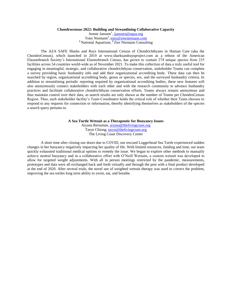## **Chondrocensus 2022: Building and Streamlining Collaborative Capacity**

Jennie Janssen<sup>1</sup>, jjanssen@aqua.org Tony Niemann<sup>2</sup>, tony@zierniemann.com **<sup>1</sup>**National Aquarium, **<sup>2</sup>**Zier Niemann Consulting

The AZA SAFE Sharks and Rays International Census of Chondrichthyans in Human Care (aka the ChondroCensus), which launched in 2019 at www.sharksandraysproject.com as a reboot of the American Elasmobranch Society's International Elasmobranch Census, has grown to contain 274 unique species from 235 facilities across 54 countries world-wide as of November 2021. To make this collection of data a truly useful tool for engaging in meaningful, strategic, and collaborative chondrichthyan conservation, stakeholder Teams can complete a survey providing basic husbandry info and add their organizational accrediting body. These data can then be searched by region, organizational accrediting body, genus or species, sex, and the surveyed husbandry criteria. In addition to streamlining periodic reporting required by organizational accrediting bodies, these new features will also anonymously connect stakeholders with each other and with the research community to advance husbandry practices and facilitate collaborative chondrichthyan conservation efforts. Teams always remain anonymous and thus maintain control over their data, as search results are only shown as the number of Teams per ChondroCensus Region. Thus, each stakeholder facility's Team Coordinator holds the critical role of whether their Team chooses to respond to any requests for connection or information, thereby identifying themselves as stakeholders of the species a search query pertains to.

**A Sea Turtle Wetsuit as a Therapeutic for Buoyancy Issues**

Aiyana Reissman, aiyana@thelivingcoast.org Taryn Chiong, taryn@thelivingcoast.org The Living Coast Discovery Center

A short time after closing our doors due to COVID, our rescued Loggerhead Sea Turtle experienced sudden changes in her buoyancy negatively impacting her quality of life. With limited resources, funding and time, our team quickly exhausted traditional medical options to remedy the issue. We began to explore other methods to manually achieve neutral buoyancy and in a collaborative effort with O'Neill Wetsuits, a custom wetsuit was developed to allow for targeted weight adjustments. With all in person meetings restricted by the pandemic, measurements, prototypes and data were all exchanged back and forth virtually and through the post with a final product developed at the end of 2020. After several trials, the novel use of weighted wetsuit therapy was used to correct the problem, improving the sea turtles long term ability to swim, eat, and breathe.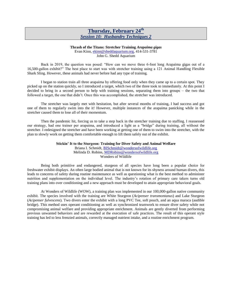# **Thursday, February 24th** *Session 10: Husbandry Techniques 2*

#### **Thrash of the Titans: Stretcher Training** *Arapaima gigas*

Evan Kinn, ekinn@sheddaquarium.org, 414-531-3781 John G. Shedd Aquarium

Back in 2019, the question was posed: "How can we move three 6-foot long Arapaima gigas out of a 16,500-gallon exhibit?" The best place to start was with stretcher training using a 121 Animal Handling Flexible Shark Sling. However, these animals had never before had any type of training.

I began to station train all three arapaima by offering food only when they came up to a certain spot. They picked up on the station quickly, so I introduced a target, which two of the three took to immediately. At this point I decided to bring in a second person to help with training sessions, separating them into groups – the two that followed a target, the one that didn't. Once this was accomplished, the stretcher was introduced.

The stretcher was largely met with hesitation, but after several months of training, I had success and got one of them to regularly swim into the it! However, multiple instances of the arapaima panicking while in the stretcher caused them to lose all of their momentum.

Then the pandemic hit, forcing us to take a step back in the stretcher training due to staffing. I reassessed our strategy, had one trainer per arapaima, and introduced a light as a "bridge" during training, all without the stretcher. I redesigned the stretcher and have been working at getting one of them to swim into the stretcher, with the plan to slowly work on getting them comfortable enough to lift them safely out of the exhibit.

> **Stickin' It to the Sturgeon: Training for Diver Safety and Animal Welfare** Briana I. Schmidt, BISchmidt@wondersofwildlife.org Melinda D. Robins, MDRobins@wondersofwildlife.org Wonders of Wildlife

Being both primitive and endangered, sturgeon of all species have long been a popular choice for freshwater exhibit displays. An often large bodied animal that is not known for its shyness around human divers, this leads to concerns of safety during routine maintenance as well as questioning what is the best method to administer nutrition and supplementation on the individual level. The industry's rotation of primary care takers turns old training plans into over conditioning and a new approach must be developed to attain appropriate behavioral goals.

At Wonders of Wildlife (WOW), a training plan was implemented in our 100,000-gallon native community exhibit. The species involved with the training are White Sturgeon (*Acipenser transmontanus*) and Lake Sturgeon (*Acipenser fulvescens*). Two divers enter the exhibit with a long PVC Tee, soft pouch, and an aqua maraca (audible bridge). This method uses operant conditioning as well as synchronized teamwork to ensure diver safety while not compromising animal welfare and providing appropriate enrichment. Animals are gently diverted from performing previous unwanted behaviors and are rewarded at the execution of safe practices. The result of this operant style training has led to less frenzied animals, correctly managed nutrient intake, and a routine enrichment program.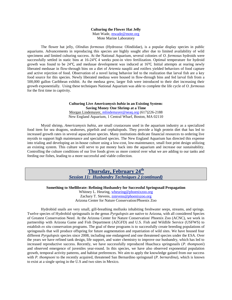#### **Culturing the Flower Hat Jelly**

Matt Wade, mwade@mote.org

Mote Marine Laboratory

The flower hat jelly, *Olindias formosus* (Hydrozoa: Olindiidae), is a popular display species in public aquariums. Advancements in reproducing this species are highly sought after due to limited availability of wild specimens and limited culturing success. At the National Aquarium, several colonies of *O. formosus* hydroids were successfully settled in static bins at 16-24℃ 4 weeks post-in vitro fertilization. Optimal temperature for hydroid growth was found to be 24℃, and medusae development was induced at 16℃. Initial attempts at rearing newly liberated medusae in flow-through bins on a diet of *Artemia* nauplii and rotifers yielded behaviors of food capture and active rejection of food. Observation of a novel luring behavior led to the realization that larval fish are a key food source for this species. Newly liberated medusa were housed in flow-through bins and fed larval fish from a 500,000 gallon Caribbean exhibit. As the medusa grew, larger fish were introduced to their diet increasing their growth exponentially. Using these techniques National Aquarium was able to complete the life cycle of *O. formosus* for the first time in captivity.

> **Culturing Live** *Americamysis bahia* **in an Existing System: Saving Money One Shrimp at a Time** Morgan Lindemayer, mlindemayer@neaq.org (617)226-2188 New England Aquarium, 1 Central Wharf, Boston, MA 02110

Mysid shrimp, *Americamysis bahia*, are small crustaceans used in the aquarium industry as a specialized food item for sea dragons, seahorses, pipefish and cephalopods. They provide a high protein diet that has led to increased growth rates in several aquaculture species. Many institutions dedicate financial resources to ordering live mysids to support high maintenance and specialized species. The New England Aquarium has directed this expense into trialing and developing an in-house culture using a low-cost, low-maintenance, small foot print design utilizing an existing system. This culture will serve to put money back into the aquarium and increase our sustainability. Controlling the culture conditions of our live foods gives us more control over what we are adding to our tanks and feeding our fishes, leading to a more successful and viable collection.

> **Thursday, February 24th** *Session 11: Husbandry Techniques 2 (continued)*

**Something to Shellibrate: Refining Husbandry for Successful Springsnail Propagation**

Whitney L. Heuring, wheuring@phoenixzoo.org Zachary T. Stevens, zstevens@phoenixzoo.org Arizona Center for Nature Conservation/Phoenix Zoo

Hydrobiid snails are very small, gill-breathing mollusks inhabiting freshwater seeps, streams, and springs. Twelve species of Hydrobiid springsnails in the genus *Pyrgulopsis* are native to Arizona, with all considered Species of Greatest Conservation Need. At the Arizona Center for Nature Conservation/ Phoenix Zoo (ACNC), we work in partnership with Arizona Game and Fish Department (AZGFD) and U.S. Fish and Wildlife Service (USFWS) to establish *ex situ* conservation programs. The goal of these programs is to successfully create breeding populations of springsnails that will produce offspring for future augmentation and repatriation of wild sites. We have housed four different *Pyrgulopsis* species since 2008, including one endangered and one threatened species under the ESA. Over the years we have refined tank design, life support, and water chemistry to improve our husbandry, which has led to increased reproductive success. Recently, we have successfully reproduced Huachuca springsnails (*P. thompsoni*) and observed emergence of juveniles year-round. In this species, we have also observed exponential population growth, temporal activity patterns, and habitat preferences. We aim to apply the knowledge gained from our success with *P. thompsoni* to the recently acquired, threatened San Bernardino springsnail (*P. bernardina*), which is known to exist at a single spring in the U.S and two sites in Mexico.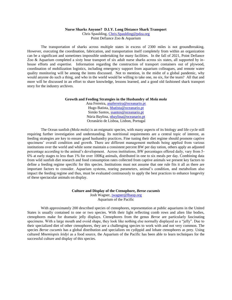**Nurse Sharks Anyone? D.I.Y. Long Distance Shark Transport**

Chris Spaulding, Chris.Spaulding@pdza.org Point Defiance Zoo & Aquarium

The transportation of sharks across multiple states in excess of 2300 miles is not groundbreaking. However, executing the coordination, fabrication, and transportation itself completely from within an organization can be a significant and sometimes impossible undertaking for many facilities. In the fall of 2021, Point Defiance Zoo & Aquarium completed a sixty hour transport of six adult nurse sharks across six states, all supported by inhouse efforts and expertise. Information regarding the construction of transport containers out of plywood, coordination of mobilization logistics, including emergency support from aquarium colleagues, and remote water quality monitoring will be among the items discussed. Not to mention, in the midst of a global pandemic, why would anyone do such a thing, and who in the world would be willing to take one, no six, for the team? All that and more will be discussed in an effort to share knowledge, lessons learned, and a good old fashioned shark transport story for the industry archives.

#### **Growth and Feeding Strategies in the Husbandry of** *Mola mola*

Ana Ferreira, anaferreira@oceanario.pt Hugo Batista, hbatista@oceanario.pt Simão Santos, [ssantos@oceanario.pt](mailto:ssantos@oceanario.pt) Núria Baylina, nbaylina@oceanario.pt Oceanário de Lisboa, Lisbon, Portugal

The Ocean sunfish *(Mola mola*) is an enigmatic species, with many aspects of its biology and life cycle still requiring further investigation and understanding. Its nutritional requirements are a central topic of interest, as feeding strategies are key to ensure good husbandry practices. Fine tuning their diet regime should promote captive specimens' overall condition and growth. There are different management methods being applied from various institutions over the world and while some maintain a consistent percent BW per day ration, others apply an adjusted percentage according to the animal's development. Across institutions, BW percentages offered daily, vary from 5- 6% at early stages to less than 1% for over 100Kg animals, distributed in one to six meals per day. Combining data from wild sunfish diet research and food consumption rates collected from captive animals we present key factors to define a feeding regime specific for this species. Institutions must not assume that one rule fits it all as there are important factors to consider. Aquarium systems, rearing parameters, animal's condition, and metabolism also impact the feeding regime and thus, must be evaluated continuously to apply the best practices to enhance longevity of these spectacular animals on display.

> **Culture and Display of the Ctenophore,** *Beroe cucumis* Josh Wagner, jwagner@lbaop.org

Aquarium of the Pacific

With approximately 200 described species of ctenophores, representation at public aquariums in the United States is usually contained to one or two species. With their light reflecting comb rows and alien like bodies, ctenophores make for dramatic jelly displays. Ctenophores from the genus *Beroe* are particularly fascinating specimens. With a large mouth and ovoid shape, they look like nothing else normally displayed as a "jelly". Due to their specialized diet of other ctenophores, they are a challenging species to work with and not very common. The species *Beroe cucumis* has a global distribution and specializes on cydippid and lobate ctenophores as prey. Using cultured *Mnemiopsis leidyi* as a food source, the Aquarium of the Pacific has been able to learn techniques for the successful culture and display of this species.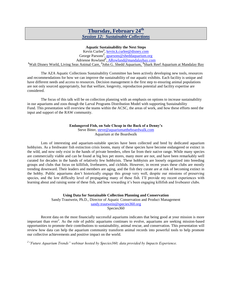# **Thursday, February 24th** *Session 12: Sustainable Collections*

# **Aquatic Sustainability the Next Steps**

Kevin Curlee<sup>1</sup>, kevin.k.curlee@disney.com George Parsons<sup>2</sup>, **gparsons@sheddaquarium.org** Adrienne Rowland**<sup>3</sup>** , ARowland@mandalaybay.com <sup>1</sup>Walt Disney World, Living Seas Animal Care, <sup>2</sup>John G. Shedd Aquarium, <sup>3</sup>Shark Reef Aquarium at Mandalay Bay

The AZA Aquatic Collections Sustainability Committee has been actively developing new tools, resources and recommendations for how we can improve the sustainability of our aquatic exhibits. Each facility is unique and have different needs and access to resources. Decision management is the first step to ensuring animal populations are not only sourced appropriately, but that welfare, longevity, reproduction potential and facility expertise are considered.

The focus of this talk will be on collection planning with an emphasis on options to increase sustainability in our aquariums and zoos though the Larval Programs Distribution Model with supporting Sustainability Fund. This presentation will overview the teams within the ACSC, the areas of work, and how these efforts need the input and support of the RAW community.

> **Endangered Fish, on Sale Cheap in the Back of a Denny's** Steve Bitter, steve@aquariumattheboardwalk.com Aquarium at the Boardwalk

Lots of interesting and aquarium-suitable species have been collected and bred by dedicated aquarium hobbyists. As a freshwater fish extinction crisis looms, many of these species have become endangered or extinct in the wild, and now only exist in the hands of private breeders, often far from their native range. While many species are commercially viable and can be found at big box pet stores, many more are not, and have been remarkably well curated for decades in the hands of relatively few hobbyists. These hobbyists are loosely organized into breeding groups and clubs that focus on killifish, livebearers, and cichlids. However, in recent years these clubs are mostly trending downward. Their leaders and members are aging, and the fish they curate are at risk of becoming extinct in the hobby. Public aquariums don't historically engage this group very well, despite our missions of preserving species, and the low difficulty level of propagating many of these fish. I'll provide my recent experiences with learning about and raising some of these fish, and how rewarding it's been engaging killifish and livebearer clubs.

#### **Using Data for Sustainable Collection Planning and Conservation**

Sandy Trautwein, Ph.D., Director of Aquatic Conservation and Product Management sandy.trautwein@species360.org Species360

Recent data on the most financially successful aquariums indicates that being good at your mission is more important than ever<sup>2</sup>. As the role of public aquariums continues to evolve, aquariums are seeking mission-based opportunities to promote their contributions to sustainability, animal rescue, and conservation. This presentation will review how data can help the aquarium community transform animal records into powerful tools to help promote our collective achievements and positive impact on the world.

*2 "Future Aquarium Trends" webinar hosted by Species360; data provided by Impacts Experience.*